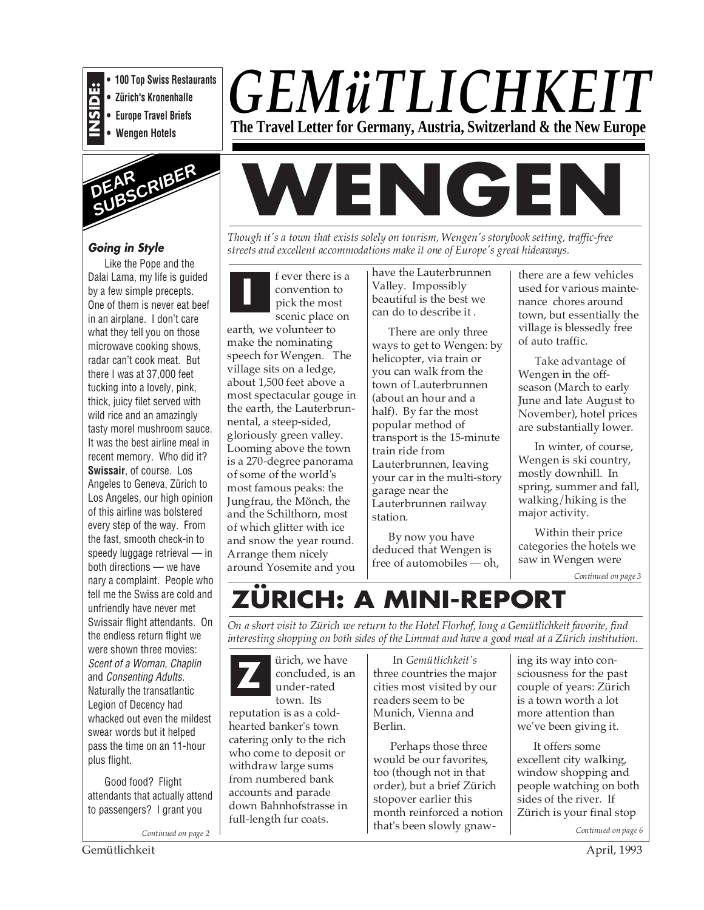

- **100 Top Swiss Restaurants • Zürich's Kronenhalle**
- **Europe Travel Briefs**
- **Wengen Hotels**



# **Going in Style**

Like the Pope and the Dalai Lama, my life is guided by a few simple precepts. One of them is never eat beef in an airplane. I don't care what they tell you on those microwave cooking shows, radar can't cook meat. But there I was at 37,000 feet tucking into a lovely, pink, thick, juicy filet served with wild rice and an amazingly tasty morel mushroom sauce. It was the best airline meal in recent memory. Who did it? **Swissair**, of course. Los Angeles to Geneva, Zürich to Los Angeles, our high opinion of this airline was bolstered every step of the way. From the fast, smooth check-in to speedy luggage retrieval — in both directions — we have nary a complaint. People who tell me the Swiss are cold and unfriendly have never met Swissair flight attendants. On the endless return flight we were shown three movies: Scent of a Woman, Chaplin and Consenting Adults. Naturally the transatlantic Legion of Decency had whacked out even the mildest swear words but it helped pass the time on an 11-hour plus flight.

Good food? Flight attendants that actually attend to passengers? I grant you

*Continued on page 2*

# *GEMüTLICHKEIT* **The Travel Letter for Germany, Austria, Switzerland & the New Europe**

# **WENGEN**

*Though it's a town that exists solely on tourism, Wengen's storybook setting, traffic-free streets and excellent accommodations make it one of Europe's great hideaways.*

**I** f ever there is a convention to pick the most scenic place on

earth, we volunteer to make the nominating speech for Wengen. The village sits on a ledge, about 1,500 feet above a most spectacular gouge in the earth, the Lauterbrunnental, a steep-sided, gloriously green valley. Looming above the town is a 270-degree panorama of some of the world's most famous peaks: the Jungfrau, the Mönch, the and the Schilthorn, most of which glitter with ice and snow the year round. Arrange them nicely around Yosemite and you

have the Lauterbrunnen Valley. Impossibly beautiful is the best we can do to describe it .

There are only three ways to get to Wengen: by helicopter, via train or you can walk from the town of Lauterbrunnen (about an hour and a half). By far the most popular method of transport is the 15-minute train ride from Lauterbrunnen, leaving your car in the multi-story garage near the Lauterbrunnen railway station.

By now you have deduced that Wengen is free of automobiles — oh, there are a few vehicles used for various maintenance chores around town, but essentially the village is blessedly free of auto traffic.

Take advantage of Wengen in the offseason (March to early June and late August to November), hotel prices are substantially lower.

In winter, of course, Wengen is ski country, mostly downhill. In spring, summer and fall, walking/hiking is the major activity.

Within their price categories the hotels we saw in Wengen were

*Continued on page 3*

# **ZÜRICH: A MINI-REPORT**

*On a short visit to Zürich we return to the Hotel Florhof, long a Gemütlichkeit favorite, find interesting shopping on both sides of the Limmat and have a good meal at a Zürich institution.*

ürich, we have concluded, is an under-rated town. Its reputation is as a coldhearted banker's town catering only to the rich who come to deposit or withdraw large sums from numbered bank accounts and parade down Bahnhofstrasse in full-length fur coats. **Z**

 In *Gemütlichkeit's* three countries the major cities most visited by our readers seem to be Munich, Vienna and Berlin.

Perhaps those three would be our favorites, too (though not in that order), but a brief Zürich stopover earlier this month reinforced a notion that's been slowly gnaw-

ing its way into consciousness for the past couple of years: Zürich is a town worth a lot more attention than we've been giving it.

It offers some excellent city walking, window shopping and people watching on both sides of the river. If Zürich is your final stop

*Continued on page 6*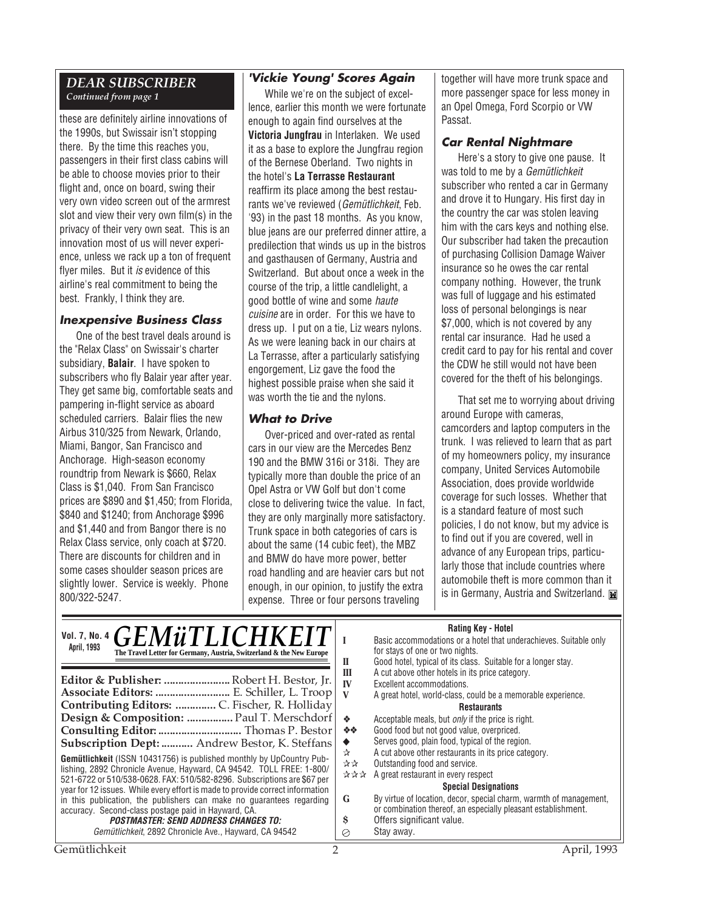#### *DEAR SUBSCRIBER Continued from page 1*

these are definitely airline innovations of the 1990s, but Swissair isn't stopping there. By the time this reaches you, passengers in their first class cabins will be able to choose movies prior to their flight and, once on board, swing their very own video screen out of the armrest slot and view their very own film(s) in the privacy of their very own seat. This is an innovation most of us will never experience, unless we rack up a ton of frequent flyer miles. But it is evidence of this airline's real commitment to being the best. Frankly, I think they are.

#### **Inexpensive Business Class**

One of the best travel deals around is the "Relax Class" on Swissair's charter subsidiary, **Balair**. I have spoken to subscribers who fly Balair year after year. They get same big, comfortable seats and pampering in-flight service as aboard scheduled carriers. Balair flies the new Airbus 310/325 from Newark, Orlando, Miami, Bangor, San Francisco and Anchorage. High-season economy roundtrip from Newark is \$660, Relax Class is \$1,040. From San Francisco prices are \$890 and \$1,450; from Florida, \$840 and \$1240; from Anchorage \$996 and \$1,440 and from Bangor there is no Relax Class service, only coach at \$720. There are discounts for children and in some cases shoulder season prices are slightly lower. Service is weekly. Phone 800/322-5247.

### **'Vickie Young' Scores Again**

While we're on the subject of excellence, earlier this month we were fortunate enough to again find ourselves at the **Victoria Jungfrau** in Interlaken. We used it as a base to explore the Jungfrau region of the Bernese Oberland. Two nights in the hotel's **La Terrasse Restaurant** reaffirm its place among the best restaurants we've reviewed (Gemütlichkeit, Feb. '93) in the past 18 months. As you know, blue jeans are our preferred dinner attire, a predilection that winds us up in the bistros and gasthausen of Germany, Austria and Switzerland. But about once a week in the course of the trip, a little candlelight, a good bottle of wine and some haute cuisine are in order. For this we have to dress up. I put on a tie, Liz wears nylons. As we were leaning back in our chairs at La Terrasse, after a particularly satisfying engorgement, Liz gave the food the highest possible praise when she said it was worth the tie and the nylons.

#### **What to Drive**

Over-priced and over-rated as rental cars in our view are the Mercedes Benz 190 and the BMW 316i or 318i. They are typically more than double the price of an Opel Astra or VW Golf but don't come close to delivering twice the value. In fact, they are only marginally more satisfactory. Trunk space in both categories of cars is about the same (14 cubic feet), the MBZ and BMW do have more power, better road handling and are heavier cars but not enough, in our opinion, to justify the extra expense. Three or four persons traveling

together will have more trunk space and more passenger space for less money in an Opel Omega, Ford Scorpio or VW Passat.

# **Car Rental Nightmare**

Here's a story to give one pause. It was told to me by a Gemütlichkeit subscriber who rented a car in Germany and drove it to Hungary. His first day in the country the car was stolen leaving him with the cars keys and nothing else. Our subscriber had taken the precaution of purchasing Collision Damage Waiver insurance so he owes the car rental company nothing. However, the trunk was full of luggage and his estimated loss of personal belongings is near \$7,000, which is not covered by any rental car insurance. Had he used a credit card to pay for his rental and cover the CDW he still would not have been covered for the theft of his belongings.

That set me to worrying about driving around Europe with cameras, camcorders and laptop computers in the trunk. I was relieved to learn that as part of my homeowners policy, my insurance company, United Services Automobile Association, does provide worldwide coverage for such losses. Whether that is a standard feature of most such policies, I do not know, but my advice is to find out if you are covered, well in advance of any European trips, particularly those that include countries where automobile theft is more common than it is in Germany, Austria and Switzerland.

# **Rating Key - Hotel**

| Vol. 7, No. 4 GEMÜTLICHKEIT<br>April, 1993<br>The Travel Letter for Germany, Austria, Switzerland & the New Europe                                                                                           | $\mathbf{I}$ | <b>NAILING NEV - FIGURE</b><br>Basic accommodations or a hotel that underachieves. Suitable only<br>for stays of one or two nights.<br>Good hotel, typical of its class. Suitable for a longer stay. |
|--------------------------------------------------------------------------------------------------------------------------------------------------------------------------------------------------------------|--------------|------------------------------------------------------------------------------------------------------------------------------------------------------------------------------------------------------|
| Editor & Publisher:  Robert H. Bestor, Jr.                                                                                                                                                                   | Ш            | A cut above other hotels in its price category.                                                                                                                                                      |
| Associate Editors:  E. Schiller, L. Troop                                                                                                                                                                    | IV           | Excellent accommodations.                                                                                                                                                                            |
| Contributing Editors:  C. Fischer, R. Holliday                                                                                                                                                               | - V          | A great hotel, world-class, could be a memorable experience.<br><b>Restaurants</b>                                                                                                                   |
| Design & Composition:  Paul T. Merschdorf                                                                                                                                                                    | 一姿           | Acceptable meals, but <i>only</i> if the price is right.                                                                                                                                             |
|                                                                                                                                                                                                              | ※※           | Good food but not good value, overpriced.                                                                                                                                                            |
| Subscription Dept:  Andrew Bestor, K. Steffans<br><b>Gemütlichkeit</b> (ISSN 10431756) is published monthly by UpCountry Pub-                                                                                | ☆            | Serves good, plain food, typical of the region.<br>A cut above other restaurants in its price category.                                                                                              |
| lishing, 2892 Chronicle Avenue, Hayward, CA 94542. TOLL FREE: 1-800/                                                                                                                                         | ☆☆           | Outstanding food and service.                                                                                                                                                                        |
| 521-6722 or 510/538-0628. FAX: 510/582-8296. Subscriptions are \$67 per                                                                                                                                      | ***          | A great restaurant in every respect                                                                                                                                                                  |
| year for 12 issues. While every effort is made to provide correct information<br>in this publication, the publishers can make no quarantees regarding<br>accuracy. Second-class postage paid in Hayward, CA. | G            | <b>Special Designations</b><br>By virtue of location, decor, special charm, warmth of management,<br>or combination thereof, an especially pleasant establishment.                                   |
| <b>POSTMASTER: SEND ADDRESS CHANGES TO:</b>                                                                                                                                                                  | s            | Offers significant value.                                                                                                                                                                            |
| Gemütlichkeit, 2892 Chronicle Ave., Hayward, CA 94542                                                                                                                                                        | ⊘            | Stay away.                                                                                                                                                                                           |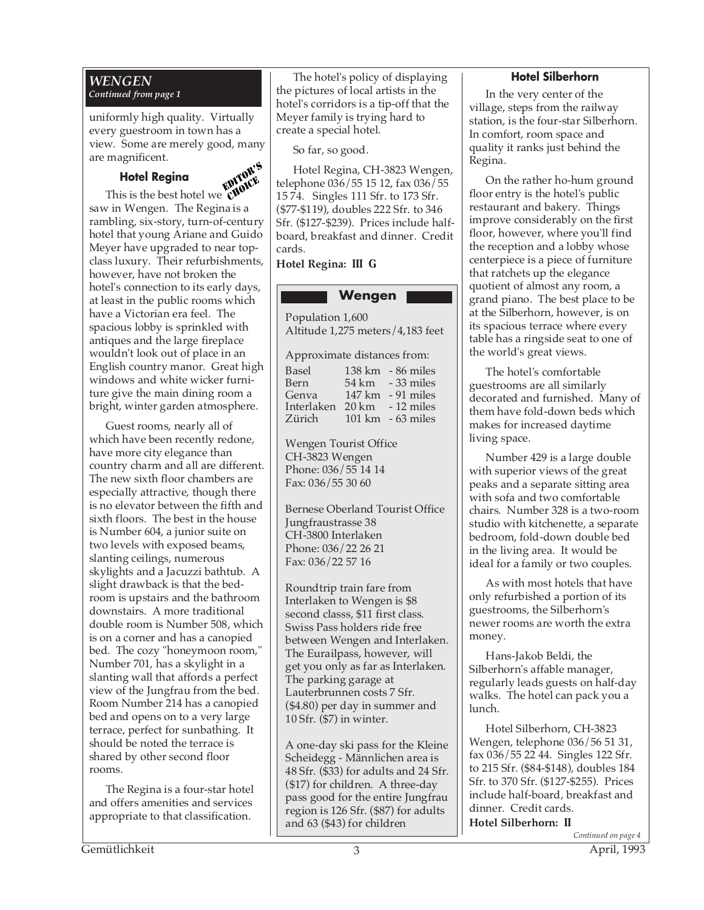#### *WENGEN Continued from page 1*

uniformly high quality. Virtually every guestroom in town has a view. Some are merely good, many are magnificent.

# **Hotel Regina**



**This is the best hotel we CHOICE** saw in Wengen. The Regina is a rambling, six-story, turn-of-century hotel that young Ariane and Guido Meyer have upgraded to near topclass luxury. Their refurbishments, however, have not broken the hotel's connection to its early days, at least in the public rooms which have a Victorian era feel. The spacious lobby is sprinkled with antiques and the large fireplace wouldn't look out of place in an English country manor. Great high windows and white wicker furniture give the main dining room a bright, winter garden atmosphere.

Guest rooms, nearly all of which have been recently redone, have more city elegance than country charm and all are different. The new sixth floor chambers are especially attractive, though there is no elevator between the fifth and sixth floors. The best in the house is Number 604, a junior suite on two levels with exposed beams, slanting ceilings, numerous skylights and a Jacuzzi bathtub. A slight drawback is that the bedroom is upstairs and the bathroom downstairs. A more traditional double room is Number 508, which is on a corner and has a canopied bed. The cozy "honeymoon room," Number 701, has a skylight in a slanting wall that affords a perfect view of the Jungfrau from the bed. Room Number 214 has a canopied bed and opens on to a very large terrace, perfect for sunbathing. It should be noted the terrace is shared by other second floor rooms.

The Regina is a four-star hotel and offers amenities and services appropriate to that classification.

The hotel's policy of displaying the pictures of local artists in the hotel's corridors is a tip-off that the Meyer family is trying hard to create a special hotel.

So far, so good.

Hotel Regina, CH-3823 Wengen, telephone 036/55 15 12, fax 036/55 15 74. Singles 111 Sfr. to 173 Sfr. (\$77-\$119), doubles 222 Sfr. to 346 Sfr. (\$127-\$239). Prices include halfboard, breakfast and dinner. Credit cards.

**Hotel Regina: III G**

# **Wengen**

Population 1,600 Altitude 1,275 meters/4,183 feet

Approximate distances from:

| Basel                       | $138 \text{ km}$ - 86 miles         |
|-----------------------------|-------------------------------------|
| Bern                        | 54 km - 33 miles                    |
| Genva                       | $147 \text{ km}$ - 91 miles         |
| Interlaken 20 km - 12 miles |                                     |
| Zürich                      | $101 \text{ km} - 63 \text{ miles}$ |

Wengen Tourist Office CH-3823 Wengen Phone: 036/55 14 14 Fax: 036/55 30 60

Bernese Oberland Tourist Office Jungfraustrasse 38 CH-3800 Interlaken Phone: 036/22 26 21 Fax: 036/22 57 16

Roundtrip train fare from Interlaken to Wengen is \$8 second classs, \$11 first class. Swiss Pass holders ride free between Wengen and Interlaken. The Eurailpass, however, will get you only as far as Interlaken. The parking garage at Lauterbrunnen costs 7 Sfr. (\$4.80) per day in summer and 10 Sfr. (\$7) in winter.

A one-day ski pass for the Kleine Scheidegg - Männlichen area is 48 Sfr. (\$33) for adults and 24 Sfr. (\$17) for children. A three-day pass good for the entire Jungfrau region is 126 Sfr. (\$87) for adults and 63 (\$43) for children

## **Hotel Silberhorn**

In the very center of the village, steps from the railway station, is the four-star Silberhorn. In comfort, room space and quality it ranks just behind the Regina.

On the rather ho-hum ground floor entry is the hotel's public restaurant and bakery. Things improve considerably on the first floor, however, where you'll find the reception and a lobby whose centerpiece is a piece of furniture that ratchets up the elegance quotient of almost any room, a grand piano. The best place to be at the Silberhorn, however, is on its spacious terrace where every table has a ringside seat to one of the world's great views.

The hotel's comfortable guestrooms are all similarly decorated and furnished. Many of them have fold-down beds which makes for increased daytime living space.

Number 429 is a large double with superior views of the great peaks and a separate sitting area with sofa and two comfortable chairs. Number 328 is a two-room studio with kitchenette, a separate bedroom, fold-down double bed in the living area. It would be ideal for a family or two couples.

As with most hotels that have only refurbished a portion of its guestrooms, the Silberhorn's newer rooms are worth the extra money.

Hans-Jakob Beldi, the Silberhorn's affable manager, regularly leads guests on half-day walks. The hotel can pack you a lunch.

Hotel Silberhorn, CH-3823 Wengen, telephone 036/56 51 31, fax 036/55 22 44. Singles 122 Sfr. to 215 Sfr. (\$84-\$148), doubles 184 Sfr. to 370 Sfr. (\$127-\$255). Prices include half-board, breakfast and dinner. Credit cards.

*Continued on page 4* **Hotel Silberhorn: II**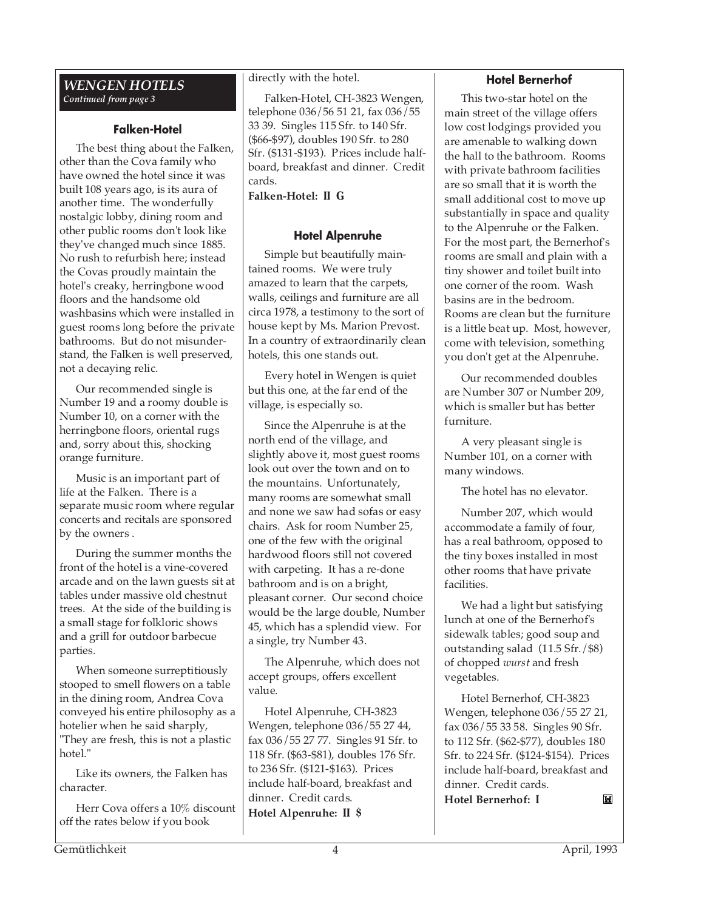#### *WENGEN HOTELS Continued from page 3*

#### **Falken-Hotel**

The best thing about the Falken, other than the Cova family who have owned the hotel since it was built 108 years ago, is its aura of another time. The wonderfully nostalgic lobby, dining room and other public rooms don't look like they've changed much since 1885. No rush to refurbish here; instead the Covas proudly maintain the hotel's creaky, herringbone wood floors and the handsome old washbasins which were installed in guest rooms long before the private bathrooms. But do not misunderstand, the Falken is well preserved, not a decaying relic.

Our recommended single is Number 19 and a roomy double is Number 10, on a corner with the herringbone floors, oriental rugs and, sorry about this, shocking orange furniture.

Music is an important part of life at the Falken. There is a separate music room where regular concerts and recitals are sponsored by the owners .

During the summer months the front of the hotel is a vine-covered arcade and on the lawn guests sit at tables under massive old chestnut trees. At the side of the building is a small stage for folkloric shows and a grill for outdoor barbecue parties.

When someone surreptitiously stooped to smell flowers on a table in the dining room, Andrea Cova conveyed his entire philosophy as a hotelier when he said sharply, "They are fresh, this is not a plastic hotel."

Like its owners, the Falken has character.

Herr Cova offers a 10% discount off the rates below if you book

directly with the hotel.

Falken-Hotel, CH-3823 Wengen, telephone 036/56 51 21, fax 036/55 33 39. Singles 115 Sfr. to 140 Sfr. (\$66-\$97), doubles 190 Sfr. to 280 Sfr. (\$131-\$193). Prices include halfboard, breakfast and dinner. Credit cards.

**Falken-Hotel: II G**

# **Hotel Alpenruhe**

Simple but beautifully maintained rooms. We were truly amazed to learn that the carpets, walls, ceilings and furniture are all circa 1978, a testimony to the sort of house kept by Ms. Marion Prevost. In a country of extraordinarily clean hotels, this one stands out.

Every hotel in Wengen is quiet but this one, at the far end of the village, is especially so.

Since the Alpenruhe is at the north end of the village, and slightly above it, most guest rooms look out over the town and on to the mountains. Unfortunately, many rooms are somewhat small and none we saw had sofas or easy chairs. Ask for room Number 25, one of the few with the original hardwood floors still not covered with carpeting. It has a re-done bathroom and is on a bright, pleasant corner. Our second choice would be the large double, Number 45, which has a splendid view. For a single, try Number 43.

The Alpenruhe, which does not accept groups, offers excellent value.

Hotel Alpenruhe, CH-3823 Wengen, telephone 036/55 27 44, fax 036/55 27 77. Singles 91 Sfr. to 118 Sfr. (\$63-\$81), doubles 176 Sfr. to 236 Sfr. (\$121-\$163). Prices include half-board, breakfast and dinner. Credit cards. **Hotel Alpenruhe: II \$**

# **Hotel Bernerhof**

This two-star hotel on the main street of the village offers low cost lodgings provided you are amenable to walking down the hall to the bathroom. Rooms with private bathroom facilities are so small that it is worth the small additional cost to move up substantially in space and quality to the Alpenruhe or the Falken. For the most part, the Bernerhof's rooms are small and plain with a tiny shower and toilet built into one corner of the room. Wash basins are in the bedroom. Rooms are clean but the furniture is a little beat up. Most, however, come with television, something you don't get at the Alpenruhe.

Our recommended doubles are Number 307 or Number 209, which is smaller but has better furniture.

A very pleasant single is Number 101, on a corner with many windows.

The hotel has no elevator.

Number 207, which would accommodate a family of four, has a real bathroom, opposed to the tiny boxes installed in most other rooms that have private facilities.

We had a light but satisfying lunch at one of the Bernerhof's sidewalk tables; good soup and outstanding salad (11.5 Sfr./\$8) of chopped *wurst* and fresh vegetables.

Hotel Bernerhof, CH-3823 Wengen, telephone 036/55 27 21, fax 036/55 33 58. Singles 90 Sfr. to 112 Sfr. (\$62-\$77), doubles 180 Sfr. to 224 Sfr. (\$124-\$154). Prices include half-board, breakfast and dinner. Credit cards. **Hotel Bernerhof: I**M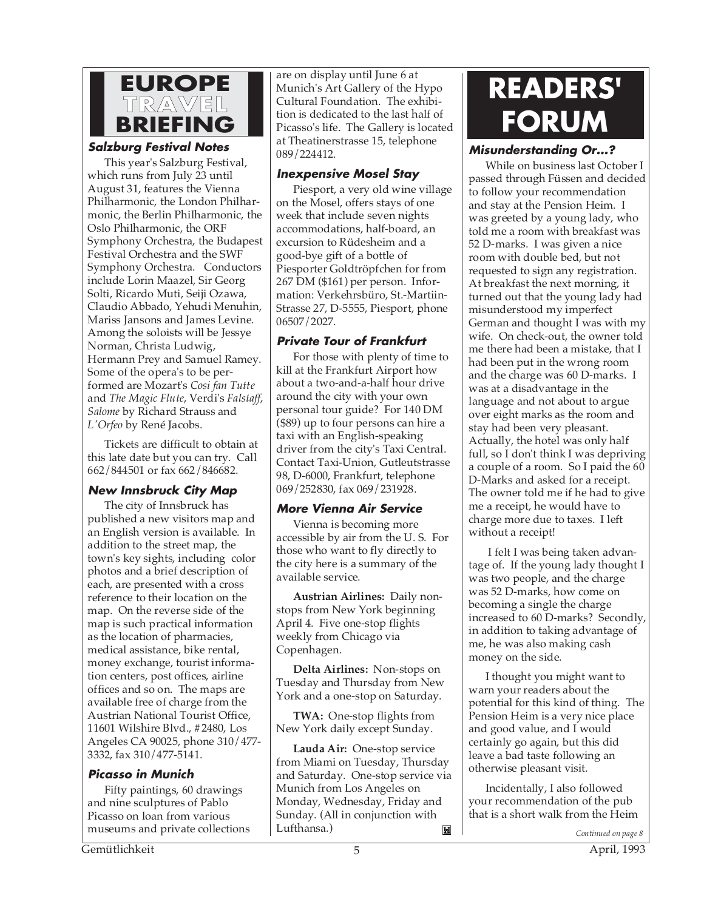

#### **Salzburg Festival Notes**

This year's Salzburg Festival, which runs from July 23 until August 31, features the Vienna Philharmonic, the London Philharmonic, the Berlin Philharmonic, the Oslo Philharmonic, the ORF Symphony Orchestra, the Budapest Festival Orchestra and the SWF Symphony Orchestra. Conductors include Lorin Maazel, Sir Georg Solti, Ricardo Muti, Seiji Ozawa, Claudio Abbado, Yehudi Menuhin, Mariss Jansons and James Levine. Among the soloists will be Jessye Norman, Christa Ludwig, Hermann Prey and Samuel Ramey. Some of the opera's to be performed are Mozart's *Cosi fan Tutte* and *The Magic Flute*, Verdi's *Falstaff*, *Salome* by Richard Strauss and *L'Orfeo* by René Jacobs.

Tickets are difficult to obtain at this late date but you can try. Call 662/844501 or fax 662/846682.

## **New Innsbruck City Map**

The city of Innsbruck has published a new visitors map and an English version is available. In addition to the street map, the town's key sights, including color photos and a brief description of each, are presented with a cross reference to their location on the map. On the reverse side of the map is such practical information as the location of pharmacies, medical assistance, bike rental, money exchange, tourist information centers, post offices, airline offices and so on. The maps are available free of charge from the Austrian National Tourist Office, 11601 Wilshire Blvd., #2480, Los Angeles CA 90025, phone 310/477- 3332, fax 310/477-5141.

## **Picasso in Munich**

Fifty paintings, 60 drawings and nine sculptures of Pablo Picasso on loan from various museums and private collections are on display until June 6 at Munich's Art Gallery of the Hypo Cultural Foundation. The exhibition is dedicated to the last half of Picasso's life. The Gallery is located at Theatinerstrasse 15, telephone 089/224412.

#### **Inexpensive Mosel Stay**

Piesport, a very old wine village on the Mosel, offers stays of one week that include seven nights accommodations, half-board, an excursion to Rüdesheim and a good-bye gift of a bottle of Piesporter Goldtröpfchen for from 267 DM (\$161) per person. Information: Verkehrsbüro, St.-Martiin-Strasse 27, D-5555, Piesport, phone 06507/2027.

## **Private Tour of Frankfurt**

For those with plenty of time to kill at the Frankfurt Airport how about a two-and-a-half hour drive around the city with your own personal tour guide? For 140 DM (\$89) up to four persons can hire a taxi with an English-speaking driver from the city's Taxi Central. Contact Taxi-Union, Gutleutstrasse 98, D-6000, Frankfurt, telephone 069/252830, fax 069/231928.

## **More Vienna Air Service**

Vienna is becoming more accessible by air from the U. S. For those who want to fly directly to the city here is a summary of the available service.

**Austrian Airlines:** Daily nonstops from New York beginning April 4. Five one-stop flights weekly from Chicago via Copenhagen.

**Delta Airlines:** Non-stops on Tuesday and Thursday from New York and a one-stop on Saturday.

**TWA:** One-stop flights from New York daily except Sunday.

**Lauda Air:** One-stop service from Miami on Tuesday, Thursday and Saturday. One-stop service via Munich from Los Angeles on Monday, Wednesday, Friday and Sunday. (All in conjunction with Lufthansa.) Ľ

# **READERS' FORUM**

# **Misunderstanding Or...?**

While on business last October I passed through Füssen and decided to follow your recommendation and stay at the Pension Heim. I was greeted by a young lady, who told me a room with breakfast was 52 D-marks. I was given a nice room with double bed, but not requested to sign any registration. At breakfast the next morning, it turned out that the young lady had misunderstood my imperfect German and thought I was with my wife. On check-out, the owner told me there had been a mistake, that I had been put in the wrong room and the charge was 60 D-marks. I was at a disadvantage in the language and not about to argue over eight marks as the room and stay had been very pleasant. Actually, the hotel was only half full, so I don't think I was depriving a couple of a room. So I paid the 60 D-Marks and asked for a receipt. The owner told me if he had to give me a receipt, he would have to charge more due to taxes. I left without a receipt!

 I felt I was being taken advantage of. If the young lady thought I was two people, and the charge was 52 D-marks, how come on becoming a single the charge increased to 60 D-marks? Secondly, in addition to taking advantage of me, he was also making cash money on the side.

I thought you might want to warn your readers about the potential for this kind of thing. The Pension Heim is a very nice place and good value, and I would certainly go again, but this did leave a bad taste following an otherwise pleasant visit.

Incidentally, I also followed your recommendation of the pub that is a short walk from the Heim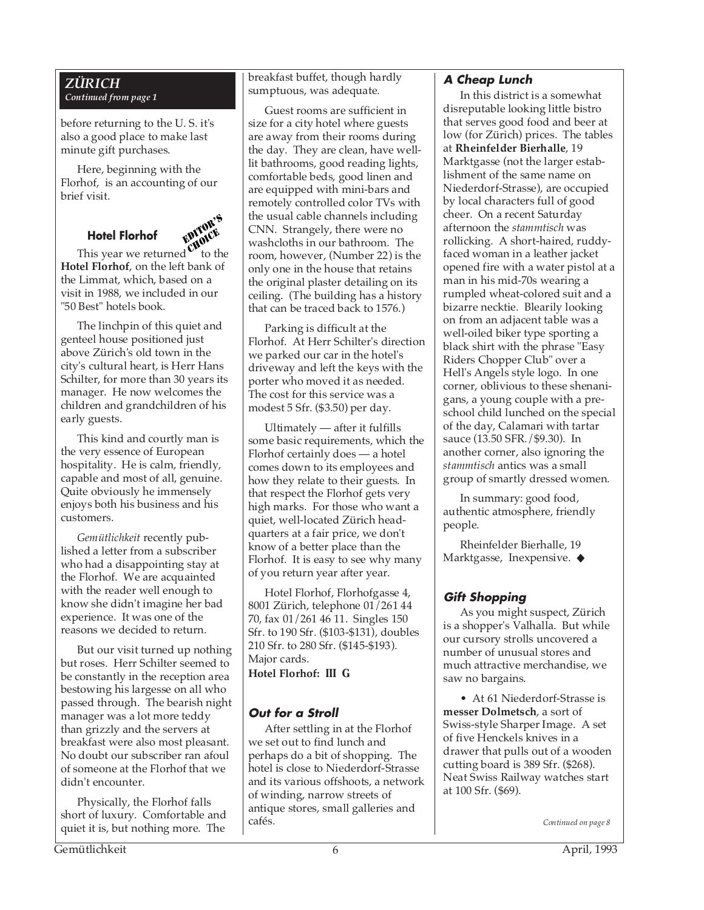#### *ZÜRICH Continued from page 1*

before returning to the U. S. it's also a good place to make last minute gift purchases.

Here, beginning with the Florhof, is an accounting of our brief visit.

# **Hotel Florhof** EDITOR'S

This year we returned  $\mathbf{\dot{v}}$  to the **Hotel Florhof**, on the left bank of the Limmat, which, based on a visit in 1988, we included in our "50 Best" hotels book. CHOICE

The linchpin of this quiet and genteel house positioned just above Zürich's old town in the city's cultural heart, is Herr Hans Schilter, for more than 30 years its manager. He now welcomes the children and grandchildren of his early guests.

This kind and courtly man is the very essence of European hospitality. He is calm, friendly, capable and most of all, genuine. Quite obviously he immensely enjoys both his business and his customers.

*Gemütlichkeit* recently published a letter from a subscriber who had a disappointing stay at the Florhof. We are acquainted with the reader well enough to know she didn't imagine her bad experience. It was one of the reasons we decided to return.

But our visit turned up nothing but roses. Herr Schilter seemed to be constantly in the reception area bestowing his largesse on all who passed through. The bearish night manager was a lot more teddy than grizzly and the servers at breakfast were also most pleasant. No doubt our subscriber ran afoul of someone at the Florhof that we didn't encounter.

Physically, the Florhof falls short of luxury. Comfortable and quiet it is, but nothing more. The

breakfast buffet, though hardly sumptuous, was adequate.

Guest rooms are sufficient in size for a city hotel where guests are away from their rooms during the day. They are clean, have welllit bathrooms, good reading lights, comfortable beds, good linen and are equipped with mini-bars and remotely controlled color TVs with the usual cable channels including CNN. Strangely, there were no washcloths in our bathroom. The room, however, (Number 22) is the only one in the house that retains the original plaster detailing on its ceiling. (The building has a history that can be traced back to 1576.)

Parking is difficult at the Florhof. At Herr Schilter's direction we parked our car in the hotel's driveway and left the keys with the porter who moved it as needed. The cost for this service was a modest 5 Sfr. (\$3.50) per day.

Ultimately — after it fulfills some basic requirements, which the Florhof certainly does — a hotel comes down to its employees and how they relate to their guests. In that respect the Florhof gets very high marks. For those who want a quiet, well-located Zürich headquarters at a fair price, we don't know of a better place than the Florhof. It is easy to see why many of you return year after year.

Hotel Florhof, Florhofgasse 4, 8001 Zürich, telephone 01/261 44 70, fax 01/261 46 11. Singles 150 Sfr. to 190 Sfr. (\$103-\$131), doubles 210 Sfr. to 280 Sfr. (\$145-\$193). Major cards. **Hotel Florhof: III G**

# **Out for a Stroll**

After settling in at the Florhof we set out to find lunch and perhaps do a bit of shopping. The hotel is close to Niederdorf-Strasse and its various offshoots, a network of winding, narrow streets of antique stores, small galleries and cafés.

### **A Cheap Lunch**

In this district is a somewhat disreputable looking little bistro that serves good food and beer at low (for Zürich) prices. The tables at **Rheinfelder Bierhalle**, 19 Marktgasse (not the larger establishment of the same name on Niederdorf-Strasse), are occupied by local characters full of good cheer. On a recent Saturday afternoon the *stammtisch* was rollicking. A short-haired, ruddyfaced woman in a leather jacket opened fire with a water pistol at a man in his mid-70s wearing a rumpled wheat-colored suit and a bizarre necktie. Blearily looking on from an adjacent table was a well-oiled biker type sporting a black shirt with the phrase "Easy Riders Chopper Club" over a Hell's Angels style logo. In one corner, oblivious to these shenanigans, a young couple with a preschool child lunched on the special of the day, Calamari with tartar sauce (13.50 SFR./\$9.30). In another corner, also ignoring the *stammtisch* antics was a small group of smartly dressed women.

In summary: good food, authentic atmosphere, friendly people.

Rheinfelder Bierhalle, 19 Marktgasse, Inexpensive. ◆

# **Gift Shopping**

As you might suspect, Zürich is a shopper's Valhalla. But while our cursory strolls uncovered a number of unusual stores and much attractive merchandise, we saw no bargains.

• At 61 Niederdorf-Strasse is **messer Dolmetsch**, a sort of Swiss-style Sharper Image. A set of five Henckels knives in a drawer that pulls out of a wooden cutting board is 389 Sfr. (\$268). Neat Swiss Railway watches start at 100 Sfr. (\$69).

*Continued on page 8*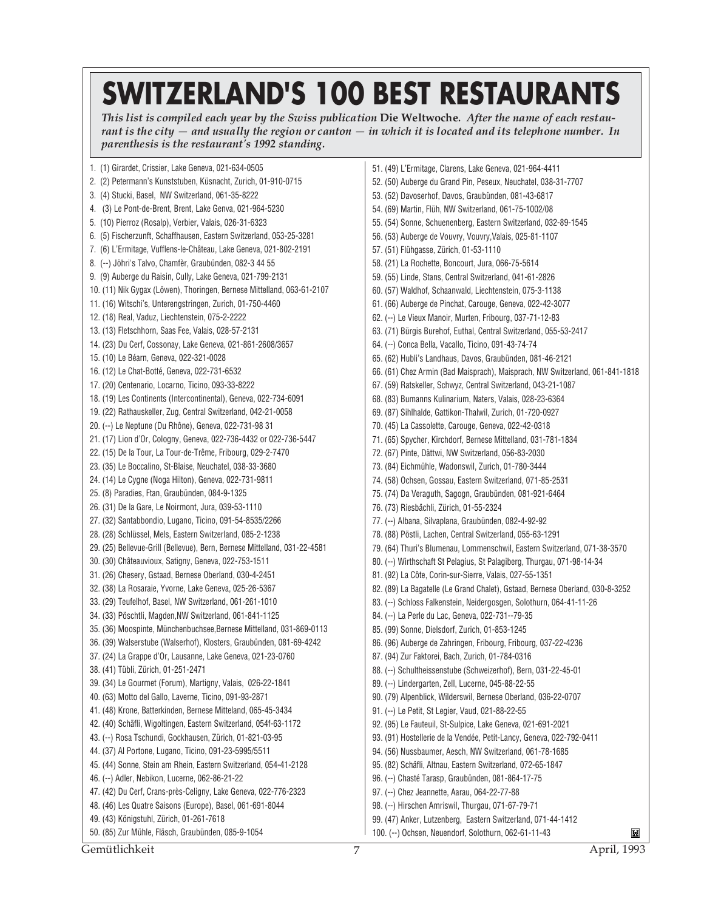# **SWITZERLAND'S 100 BEST RESTAURANTS**

*This list is compiled each year by the Swiss publication* **Die Weltwoche***. After the name of each restaurant is the city — and usually the region or canton — in which it is located and its telephone number. In parenthesis is the restaurant's 1992 standing.*

1. (1) Girardet, Crissier, Lake Geneva, 021-634-0505 51. (49) L'Ermitage, Clarens, Lake Geneva, 021-964-4411 2. (2) Petermann's Kunststuben, Küsnacht, Zurich, 01-910-0715 52. (50) Auberge du Grand Pin, Peseux, Neuchatel, 038-31-7707 3. (4) Stucki, Basel, NW Switzerland, 061-35-8222 53. (52) Davoserhof, Davos, Graubünden, 081-43-6817 4. (3) Le Pont-de-Brent, Brent, Lake Genva, 021-964-5230 54. (69) Martin, Flüh, NW Switzerland, 061-75-1002/08 5. (10) Pierroz (Rosalp), Verbier, Valais, 026-31-6323 55. (54) Sonne, Schuenenberg, Eastern Switzerland, 032-89-1545 6. (5) Fischerzunft, Schaffhausen, Eastern Switzerland, 053-25-3281 56. (53) Auberge de Vouvry, Vouvry,Valais, 025-81-1107 7. (6) L'Ermitage, Vufflens-le-Château, Lake Geneva, 021-802-2191 57. (51) Flühgasse, Zürich, 01-53-1110 8. (--) Jöhri's Talvo, Chamfèr, Graubünden, 082-3 44 55 58. (21) La Rochette, Boncourt, Jura, 066-75-5614 9. (9) Auberge du Raisin, Cully, Lake Geneva, 021-799-2131 59. (55) Linde, Stans, Central Switzerland, 041-61-2826 10. (11) Nik Gygax (Löwen), Thoringen, Bernese Mittelland, 063-61-2107 60. (57) Waldhof, Schaanwald, Liechtenstein, 075-3-1138 11. (16) Witschi's, Unterengstringen, Zurich, 01-750-4460 61. (66) Auberge de Pinchat, Carouge, Geneva, 022-42-3077 12. (18) Real, Vaduz, Liechtenstein, 075-2-2222 62. (--) Le Vieux Manoir, Murten, Fribourg, 037-71-12-83 13. (13) Fletschhorn, Saas Fee, Valais, 028-57-2131 63. (71) Bürgis Burehof, Euthal, Central Switzerland, 055-53-2417 14. (23) Du Cerf, Cossonay, Lake Geneva, 021-861-2608/3657 64. (--) Conca Bella, Vacallo, Ticino, 091-43-74-74 15. (10) Le Béarn, Geneva, 022-321-0028 65. (62) Hubli's Landhaus, Davos, Graubünden, 081-46-2121 16. (12) Le Chat-Botté, Geneva, 022-731-6532 66. (61) Chez Armin (Bad Maisprach), Maisprach, NW Switzerland, 061-841-1818 17. (20) Centenario, Locarno, Ticino, 093-33-8222 67. (59) Ratskeller, Schwyz, Central Switzerland, 043-21-1087 18. (19) Les Continents (Intercontinental), Geneva, 022-734-6091 68. (83) Bumanns Kulinarium, Naters, Valais, 028-23-6364 19. (22) Rathauskeller, Zug, Central Switzerland, 042-21-0058 69. (87) Sihlhalde, Gattikon-Thalwil, Zurich, 01-720-0927 20. (--) Le Neptune (Du Rhône), Geneva, 022-731-98 31 70. (45) La Cassolette, Carouge, Geneva, 022-42-0318 21. (17) Lion d'Or, Cologny, Geneva, 022-736-4432 or 022-736-5447 71. (65) Spycher, Kirchdorf, Bernese Mittelland, 031-781-1834 22. (15) De la Tour, La Tour-de-Trême, Fribourg, 029-2-7470 72. (67) Pinte, Dättwi, NW Switzerland, 056-83-2030 23. (35) Le Boccalino, St-Blaise, Neuchatel, 038-33-3680 73. (84) Eichmühle, Wadonswil, Zurich, 01-780-3444 24. (14) Le Cygne (Noga Hilton), Geneva, 022-731-9811 74. (58) Ochsen, Gossau, Eastern Switzerland, 071-85-2531 25. (8) Paradies, Ftan, Graubünden, 084-9-1325 75. (74) Da Veraguth, Sagogn, Graubünden, 081-921-6464 26. (31) De la Gare, Le Noirmont, Jura, 039-53-1110 76. (73) Riesbächli, Zürich, 01-55-2324 27. (32) Santabbondio, Lugano, Ticino, 091-54-8535/2266 77. (--) Albana, Silvaplana, Graubünden, 082-4-92-92 28. (28) Schlüssel, Mels, Eastern Switzerland, 085-2-1238 78. (88) Pöstli, Lachen, Central Switzerland, 055-63-1291 29. (25) Bellevue-Grill (Bellevue), Bern, Bernese Mittelland, 031-22-4581 79. (64) Thuri's Blumenau, Lommenschwil, Eastern Switzerland, 071-38-3570 30. (30) Châteauvioux, Satigny, Geneva, 022-753-1511 80. (--) Wirthschaft St Pelagius, St Palagiberg, Thurgau, 071-98-14-34 31. (26) Chesery, Gstaad, Bernese Oberland, 030-4-2451 81. (92) La Côte, Corin-sur-Sierre, Valais, 027-55-1351 32. (38) La Rosaraie, Yvorne, Lake Geneva, 025-26-5367 82. (89) La Bagatelle (Le Grand Chalet), Gstaad, Bernese Oberland, 030-8-3252 33. (29) Teufelhof, Basel, NW Switzerland, 061-261-1010 83. (--) Schloss Falkenstein, Neidergosgen, Solothurn, 064-41-11-26 34. (33) Pöschtli, Magden,NW Switzerland, 061-841-1125 84. (--) La Perle du Lac, Geneva, 022-731--79-35 35. (36) Moospinte, Münchenbuchsee,Bernese Mittelland, 031-869-0113 85. (99) Sonne, Dielsdorf, Zurich, 01-853-1245 36. (39) Walserstube (Walserhof), Klosters, Graubünden, 081-69-4242 86. (96) Auberge de Zahringen, Fribourg, Fribourg, 037-22-4236 37. (24) La Grappe d'Or, Lausanne, Lake Geneva, 021-23-0760 87. (94) Zur Faktorei, Bach, Zurich, 01-784-0316 38. (41) Tübli, Zürich, 01-251-2471 88. (--) Schultheissenstube (Schweizerhof), Bern, 031-22-45-01 39. (34) Le Gourmet (Forum), Martigny, Valais, 026-22-1841 89. (--) Lindergarten, Zell, Lucerne, 045-88-22-55 90. (79) Alpenblick, Wilderswil, Bernese Oberland, 036-22-0707 40. (63) Motto del Gallo, Laverne, Ticino, 091-93-2871 41. (48) Krone, Batterkinden, Bernese Mitteland, 065-45-3434 91. (--) Le Petit, St Legier, Vaud, 021-88-22-55 42. (40) Schäfli, Wigoltingen, Eastern Switzerland, 054f-63-1172 92. (95) Le Fauteuil, St-Sulpice, Lake Geneva, 021-691-2021 43. (--) Rosa Tschundi, Gockhausen, Zürich, 01-821-03-95 93. (91) Hostellerie de la Vendée, Petit-Lancy, Geneva, 022-792-0411 44. (37) Al Portone, Lugano, Ticino, 091-23-5995/5511 94. (56) Nussbaumer, Aesch, NW Switzerland, 061-78-1685 45. (44) Sonne, Stein am Rhein, Eastern Switzerland, 054-41-2128 95. (82) Schäfli, Altnau, Eastern Switzerland, 072-65-1847 46. (--) Adler, Nebikon, Lucerne, 062-86-21-22 96. (--) Chasté Tarasp, Graubünden, 081-864-17-75 47. (42) Du Cerf, Crans-près-Celigny, Lake Geneva, 022-776-2323 97. (--) Chez Jeannette, Aarau, 064-22-77-88 48. (46) Les Quatre Saisons (Europe), Basel, 061-691-8044 98. (--) Hirschen Amriswil, Thurgau, 071-67-79-71 49. (43) Königstuhl, Zürich, 01-261-7618 99. (47) Anker, Lutzenberg, Eastern Switzerland, 071-44-1412 50. (85) Zur Mühle, Fläsch, Graubünden, 085-9-1054 100. (--) Ochsen, Neuendorf, Solothurn, 062-61-11-43 M

Gemütlichkeit 7 April, 1993